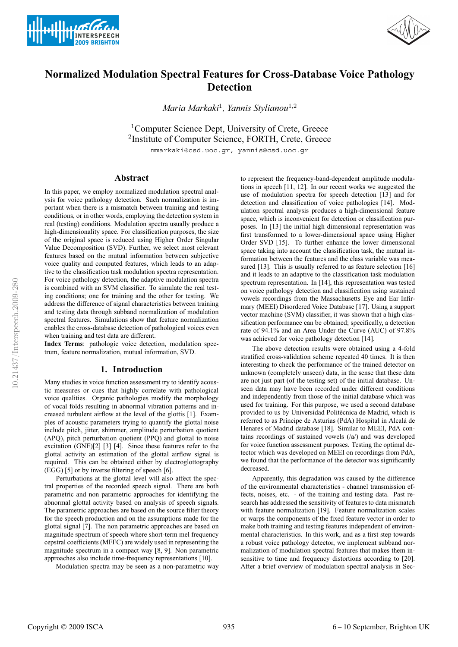



# **Normalized Modulation Spectral Features for Cross-Database Voice Pathology Detection**

*Maria Markaki*<sup>1</sup>*, Yannis Stylianou*<sup>1</sup>,<sup>2</sup>

<sup>1</sup>Computer Science Dept, University of Crete, Greece <sup>2</sup>Institute of Computer Science, FORTH, Crete, Greece mmarkaki@csd.uoc.gr, yannis@csd.uoc.gr

## **Abstract**

In this paper, we employ normalized modulation spectral analysis for voice pathology detection. Such normalization is important when there is a mismatch between training and testing conditions, or in other words, employing the detection system in real (testing) conditions. Modulation spectra usually produce a high-dimensionality space. For classification purposes, the size of the original space is reduced using Higher Order Singular Value Decomposition (SVD). Further, we select most relevant features based on the mutual information between subjective voice quality and computed features, which leads to an adaptive to the classification task modulation spectra representation. For voice pathology detection, the adaptive modulation spectra is combined with an SVM classifier. To simulate the real testing conditions; one for training and the other for testing. We address the difference of signal characteristics between training and testing data through subband normalization of modulation spectral features. Simulations show that feature normalization enables the cross-database detection of pathological voices even when training and test data are different.

**Index Terms**: pathologic voice detection, modulation spectrum, feature normalization, mutual information, SVD.

### **1. Introduction**

Many studies in voice function assessment try to identify acoustic measures or cues that highly correlate with pathological voice qualities. Organic pathologies modify the morphology of vocal folds resulting in abnormal vibration patterns and increased turbulent airflow at the level of the glottis [1]. Examples of acoustic parameters trying to quantify the glottal noise include pitch, jitter, shimmer, amplitude perturbation quotient (APQ), pitch perturbation quotient (PPQ) and glottal to noise excitation (GNE)[2] [3] [4]. Since these features refer to the glottal activity an estimation of the glottal airflow signal is required. This can be obtained either by electroglottography (EGG) [5] or by inverse filtering of speech [6].

Perturbations at the glottal level will also affect the spectral properties of the recorded speech signal. There are both parametric and non parametric approaches for identifying the abnormal glottal activity based on analysis of speech signals. The parametric approaches are based on the source filter theory for the speech production and on the assumptions made for the glottal signal [7]. The non parametric approaches are based on magnitude spectrum of speech where short-term mel frequency cepstral coefficients (MFFC) are widely used in representing the magnitude spectrum in a compact way [8, 9]. Non parametric approaches also include time-frequency representations [10].

Modulation spectra may be seen as a non-parametric way

to represent the frequency-band-dependent amplitude modulations in speech [11, 12]. In our recent works we suggested the use of modulation spectra for speech detection [13] and for detection and classification of voice pathologies [14]. Modulation spectral analysis produces a high-dimensional feature space, which is inconvenient for detection or classification purposes. In [13] the initial high dimensional representation was first transformed to a lower-dimensional space using Higher Order SVD [15]. To further enhance the lower dimensional space taking into account the classification task, the mutual information between the features and the class variable was measured [13]. This is usually referred to as feature selection [16] and it leads to an adaptive to the classification task modulation spectrum representation. In [14], this representation was tested on voice pathology detection and classification using sustained vowels recordings from the Massachusetts Eye and Ear Infirmary (MEEI) Disordered Voice Database [17]. Using a support vector machine (SVM) classifier, it was shown that a high classification performance can be obtained; specifically, a detection rate of 94.1% and an Area Under the Curve (AUC) of 97.8% was achieved for voice pathology detection [14].

The above detection results were obtained using a 4-fold stratified cross-validation scheme repeated 40 times. It is then interesting to check the performance of the trained detector on unknown (completely unseen) data, in the sense that these data are not just part (of the testing set) of the initial database. Unseen data may have been recorded under different conditions and independently from those of the initial database which was used for training. For this purpose, we used a second database provided to us by Universidad Politécnica de Madrid, which is referred to as Príncipe de Asturias (PdA) Hospital in Alcalá de Henares of Madrid database [18]. Similar to MEEI, PdA contains recordings of sustained vowels (/a/) and was developed for voice function assessment purposes. Testing the optimal detector which was developed on MEEI on recordings from PdA, we found that the performance of the detector was significantly decreased.

Apparently, this degradation was caused by the difference of the environmental characteristics - channel transmission effects, noises, etc. - of the training and testing data. Past research has addressed the sensitivity of features to data mismatch with feature normalization [19]. Feature normalization scales or warps the components of the fixed feature vector in order to make both training and testing features independent of environmental characteristics. In this work, and as a first step towards a robust voice pathology detector, we implement subband normalization of modulation spectral features that makes them insensitive to time and frequency distortions according to [20]. After a brief overview of modulation spectral analysis in Sec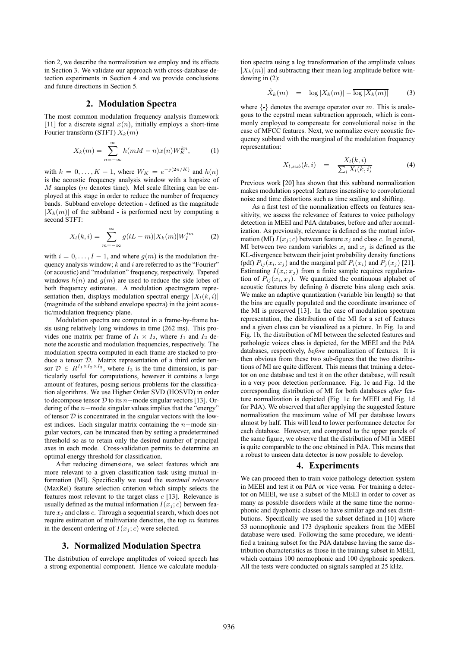tion 2, we describe the normalization we employ and its effects in Section 3. We validate our approach with cross-database detection experiments in Section 4 and we provide conclusions and future directions in Section 5.

#### **2. Modulation Spectra**

The most common modulation frequency analysis framework [11] for a discrete signal  $x(n)$ , initially employs a short-time Fourier transform (STFT)  $X_k(m)$ 

$$
X_k(m) = \sum_{n = -\infty}^{\infty} h(mM - n)x(n)W_K^{kn},
$$
 (1)

with  $k = 0, \ldots, K - 1$ , where  $W_K = e^{-j(2\pi/K)}$  and  $h(n)$ is the acoustic frequency analysis window with a hopsize of  $M$  samples ( $m$  denotes time). Mel scale filtering can be employed at this stage in order to reduce the number of frequency bands. Subband envelope detection - defined as the magnitude  $|X_k(m)|$  of the subband - is performed next by computing a second STFT:

$$
X_l(k,i) = \sum_{m=-\infty}^{\infty} g(lL-m)|X_k(m)|W_I^{im}
$$
 (2)

with  $i = 0, \ldots, I - 1$ , and where  $g(m)$  is the modulation frequency analysis window;  $k$  and  $i$  are referred to as the "Fourier" (or acoustic) and "modulation" frequency, respectively. Tapered windows  $h(n)$  and  $q(m)$  are used to reduce the side lobes of both frequency estimates. A modulation spectrogram representation then, displays modulation spectral energy  $|X_l(k,i)|$ (magnitude of the subband envelope spectra) in the joint acoustic/modulation frequency plane.

Modulation spectra are computed in a frame-by-frame basis using relatively long windows in time (262 ms). This provides one matrix per frame of  $I_1 \times I_2$ , where  $I_1$  and  $I_2$  denote the acoustic and modulation frequencies, respectively. The modulation spectra computed in each frame are stacked to produce a tensor D. Matrix representation of a third order tensor  $\mathcal{D} \in R^{I_1 \times I_2 \times I_3}$ , where  $I_3$  is the time dimension, is particularly useful for computations, however it contains a large amount of features, posing serious problems for the classification algorithms. We use Higher Order SVD (HOSVD) in order to decompose tensor  $D$  to its n–mode singular vectors [13]. Ordering of the n−mode singular values implies that the "energy" of tensor  $D$  is concentrated in the singular vectors with the lowest indices. Each singular matrix containing the n−mode singular vectors, can be truncated then by setting a predetermined threshold so as to retain only the desired number of principal axes in each mode. Cross-validation permits to determine an optimal energy threshold for classification.

After reducing dimensions, we select features which are more relevant to a given classification task using mutual information (MI). Specifically we used the *maximal relevance* (MaxRel) feature selection criterion which simply selects the features most relevant to the target class  $c$  [13]. Relevance is usually defined as the mutual information  $I(x_i; c)$  between feature  $x_i$  and class c. Through a sequential search, which does not require estimation of multivariate densities, the top  $m$  features in the descent ordering of  $I(x_i; c)$  were selected.

#### **3. Normalized Modulation Spectra**

The distribution of envelope amplitudes of voiced speech has a strong exponential component. Hence we calculate modula-

tion spectra using a log transformation of the amplitude values  $|X_k(m)|$  and subtracting their mean log amplitude before windowing in (2):

$$
\hat{X}_k(m) = \log |X_k(m)| - \overline{\log |X_k(m)|} \tag{3}
$$

where  $\{\cdot\}$  denotes the average operator over m. This is analogous to the cepstral mean subtraction approach, which is commonly employed to compensate for convolutional noise in the case of MFCC features. Next, we normalize every acoustic frequency subband with the marginal of the modulation frequency representation:

$$
X_{l,sub}(k,i) = \frac{X_l(k,i)}{\sum_i X_l(k,i)} \tag{4}
$$

Previous work [20] has shown that this subband normalization makes modulation spectral features insensitive to convolutional noise and time distortions such as time scaling and shifting.

As a first test of the normalization effects on features sensitivity, we assess the relevance of features to voice pathology detection in MEEI and PdA databases, before and after normalization. As previously, relevance is defined as the mutual information (MI)  $I(x_i; c)$  between feature  $x_i$  and class c. In general, MI between two random variables  $x_i$  and  $x_j$  is defined as the KL-divergence between their joint probability density functions (pdf)  $P_{ij}(x_i, x_j)$  and the marginal pdf  $P_i(x_i)$  and  $P_j(x_j)$  [21]. Estimating  $I(x_i; x_j)$  from a finite sample requires regularization of  $P_{ij}(x_i, x_j)$ . We quantized the continuous alphabet of acoustic features by defining b discrete bins along each axis. We make an adaptive quantization (variable bin length) so that the bins are equally populated and the coordinate invariance of the MI is preserved [13]. In the case of modulation spectrum representation, the distribution of the MI for a set of features and a given class can be visualized as a picture. In Fig. 1a and Fig. 1b, the distribution of MI between the selected features and pathologic voices class is depicted, for the MEEI and the PdA databases, respectively, *before* normalization of features. It is then obvious from these two sub-figures that the two distributions of MI are quite different. This means that training a detector on one database and test it on the other database, will result in a very poor detection performance. Fig. 1c and Fig. 1d the corresponding distribution of MI for both databases *after* feature normalization is depicted (Fig. 1c for MEEI and Fig. 1d for PdA). We observed that after applying the suggested feature normalization the maximum value of MI per database lowers almost by half. This will lead to lower performance detector for each database. However, and compared to the upper panels of the same figure, we observe that the distribution of MI in MEEI is quite comparable to the one obtained in PdA. This means that a robust to unseen data detector is now possible to develop.

#### **4. Experiments**

We can proceed then to train voice pathology detection system in MEEI and test it on PdA or vice versa. For training a detector on MEEI, we use a subset of the MEEI in order to cover as many as possible disorders while at the same time the normophonic and dysphonic classes to have similar age and sex distributions. Specifically we used the subset defined in [10] where 53 normophonic and 173 dysphonic speakers from the MEEI database were used. Following the same procedure, we identified a training subset for the PdA database having the same distribution characteristics as those in the training subset in MEEI, which contains 100 normophonic and 100 dysphonic speakers. All the tests were conducted on signals sampled at 25 kHz.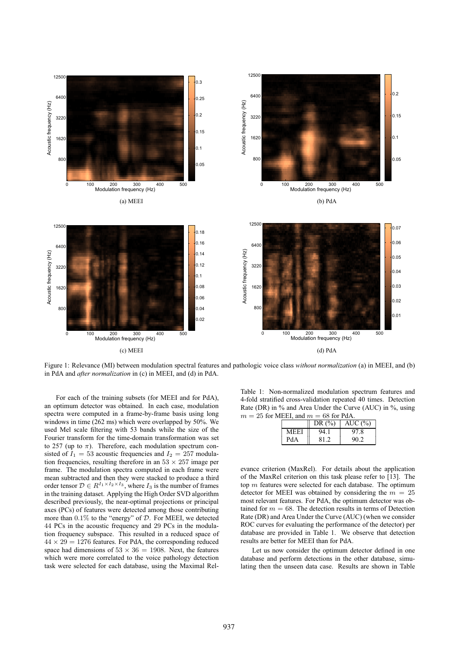

Figure 1: Relevance (MI) between modulation spectral features and pathologic voice class *without normalization* (a) in MEEI, and (b) in PdA and *after normalization* in (c) in MEEI, and (d) in PdA.

For each of the training subsets (for MEEI and for PdA), an optimum detector was obtained. In each case, modulation spectra were computed in a frame-by-frame basis using long windows in time (262 ms) which were overlapped by 50%. We used Mel scale filtering with 53 bands while the size of the Fourier transform for the time-domain transformation was set to 257 (up to  $\pi$ ). Therefore, each modulation spectrum consisted of  $I_1 = 53$  acoustic frequencies and  $I_2 = 257$  modulation frequencies, resulting therefore in an  $53 \times 257$  image per frame. The modulation spectra computed in each frame were mean subtracted and then they were stacked to produce a third order tensor  $\mathcal{D} \in R^{I_1 \times I_2 \times I_3}$ , where  $I_3$  is the number of frames in the training dataset. Applying the High Order SVD algorithm described previously, the near-optimal projections or principal axes (PCs) of features were detected among those contributing more than 0.1% to the "energy" of D. For MEEI, we detected 44 PCs in the acoustic frequency and 29 PCs in the modulation frequency subspace. This resulted in a reduced space of  $44 \times 29 = 1276$  features. For PdA, the corresponding reduced space had dimensions of  $53 \times 36 = 1908$ . Next, the features which were more correlated to the voice pathology detection task were selected for each database, using the Maximal Rel-

Table 1: Non-normalized modulation spectrum features and 4-fold stratified cross-validation repeated 40 times. Detection Rate (DR) in % and Area Under the Curve (AUC) in %, using  $m = 25$  for MEEI, and  $m = 68$  for PdA

| $\sim$ 101 1 41 1 |      |            |           |  |  |
|-------------------|------|------------|-----------|--|--|
|                   |      | DR $(\% )$ | AUC $(%)$ |  |  |
|                   | MEEI | 94.1       | 97.8      |  |  |
|                   | PdA  | 81.2       | 90.2      |  |  |

evance criterion (MaxRel). For details about the application of the MaxRel criterion on this task please refer to [13]. The top  $m$  features were selected for each database. The optimum detector for MEEI was obtained by considering the  $m = 25$ most relevant features. For PdA, the optimum detector was obtained for  $m = 68$ . The detection results in terms of Detection Rate (DR) and Area Under the Curve (AUC) (when we consider ROC curves for evaluating the performance of the detector) per database are provided in Table 1. We observe that detection results are better for MEEI than for PdA.

Let us now consider the optimum detector defined in one database and perform detections in the other database, simulating then the unseen data case. Results are shown in Table